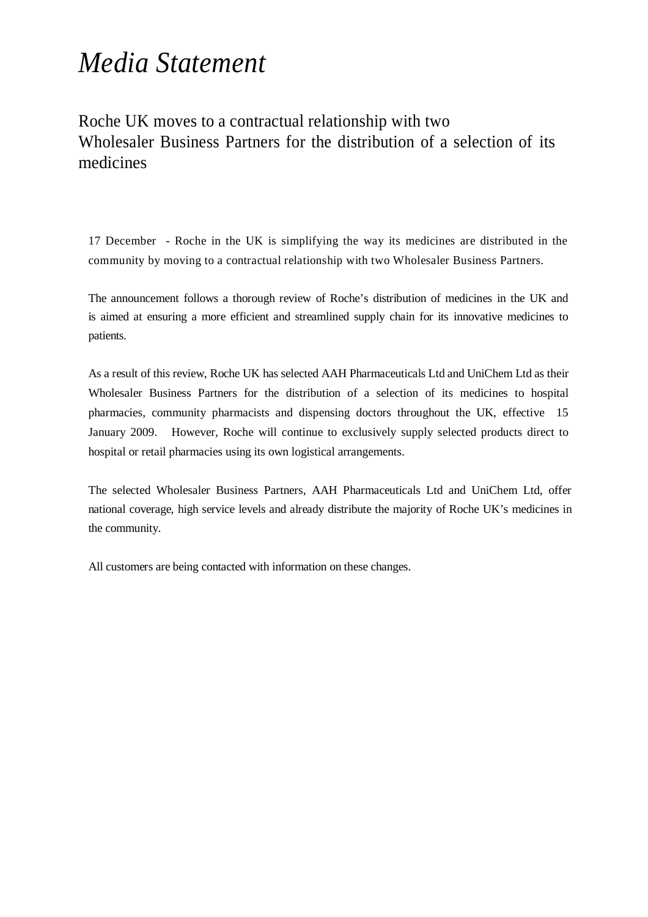## *Media Statement*

Roche UK moves to a contractual relationship with two Wholesaler Business Partners for the distribution of a selection of its medicines

17 December - Roche in the UK is simplifying the way its medicines are distributed in the community by moving to a contractual relationship with two Wholesaler Business Partners.

The announcement follows a thorough review of Roche's distribution of medicines in the UK and is aimed at ensuring a more efficient and streamlined supply chain for its innovative medicines to patients.

As a result of this review, Roche UK has selected AAH Pharmaceuticals Ltd and UniChem Ltd as their Wholesaler Business Partners for the distribution of a selection of its medicines to hospital pharmacies, community pharmacists and dispensing doctors throughout the UK, effective 15 January 2009. However, Roche will continue to exclusively supply selected products direct to hospital or retail pharmacies using its own logistical arrangements.

The selected Wholesaler Business Partners, AAH Pharmaceuticals Ltd and UniChem Ltd, offer national coverage, high service levels and already distribute the majority of Roche UK's medicines in the community.

All customers are being contacted with information on these changes.